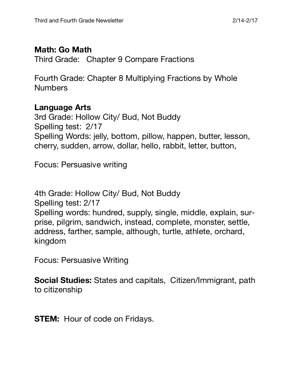# **Math: Go Math**

Third Grade: Chapter 9 Compare Fractions

Fourth Grade: Chapter 8 Multiplying Fractions by Whole **Numbers** 

# **Language Arts**

3rd Grade: Hollow City/ Bud, Not Buddy Spelling test: 2/17 Spelling Words: jelly, bottom, pillow, happen, butter, lesson, cherry, sudden, arrow, dollar, hello, rabbit, letter, button,

Focus: Persuasive writing

4th Grade: Hollow City/ Bud, Not Buddy Spelling test: 2/17 Spelling words: hundred, supply, single, middle, explain, surprise, pilgrim, sandwich, instead, complete, monster, settle, address, farther, sample, although, turtle, athlete, orchard, kingdom

Focus: Persuasive Writing

**Social Studies:** States and capitals, Citizen/Immigrant, path to citizenship

**STEM:** Hour of code on Fridays.